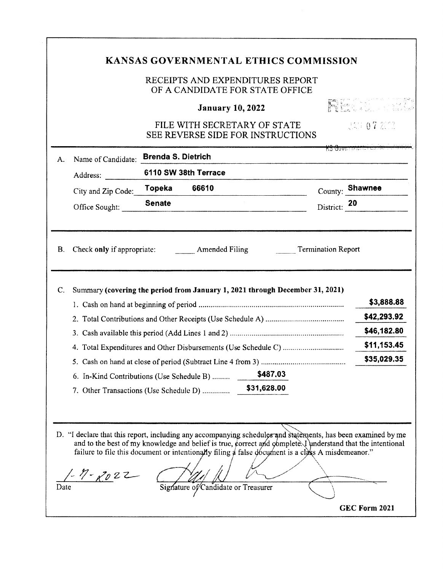|          |                                           |                           | <b>January 10, 2022</b>                                                                                                   |                           | pantan di kutha 1999.<br>Kabupatèn Propinsi Jawa Kabupatèn |
|----------|-------------------------------------------|---------------------------|---------------------------------------------------------------------------------------------------------------------------|---------------------------|------------------------------------------------------------|
|          |                                           |                           | FILE WITH SECRETARY OF STATE<br>SEE REVERSE SIDE FOR INSTRUCTIONS                                                         |                           | USH 07 2003                                                |
| А.       | Name of Candidate:                        | <b>Brenda S. Dietrich</b> |                                                                                                                           |                           | <del>KS Guvenmener</del>                                   |
|          | Address:                                  |                           | 6110 SW 38th Terrace                                                                                                      |                           |                                                            |
|          | City and Zip Code:                        | Topeka                    | 66610                                                                                                                     |                           | County: Shawnee                                            |
|          | Office Sought:                            | <b>Senate</b>             |                                                                                                                           | District: 20              |                                                            |
|          |                                           |                           | Check only if appropriate: Amended Filing<br>Summary (covering the period from January 1, 2021 through December 31, 2021) | <b>Termination Report</b> | \$3,888.88<br>\$42,293.92                                  |
|          |                                           |                           |                                                                                                                           |                           | \$46,182.80                                                |
|          |                                           |                           |                                                                                                                           |                           | \$11,153.45<br>\$35,029.35                                 |
| B.<br>C. | 6. In-Kind Contributions (Use Schedule B) |                           | \$487.03                                                                                                                  |                           |                                                            |
|          | 7. Other Transactions (Use Schedule D)    |                           | \$31,628.00                                                                                                               |                           |                                                            |
|          |                                           |                           |                                                                                                                           |                           |                                                            |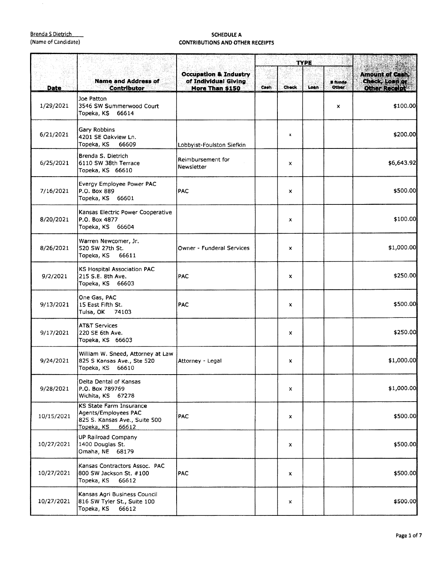## Brenda s Dietrich

 $\mathcal{A}^{\prime}$ 

| <b>Brenda S Dietrich</b><br>(Name of Candidate) |                                                                                                                | <b>SCHEDULE A</b><br><b>CONTRIBUTIONS AND OTHER RECEIPTS</b>                |             |              |      |                                |                                                           |
|-------------------------------------------------|----------------------------------------------------------------------------------------------------------------|-----------------------------------------------------------------------------|-------------|--------------|------|--------------------------------|-----------------------------------------------------------|
|                                                 |                                                                                                                |                                                                             | <b>TYPE</b> |              |      |                                |                                                           |
| <b>Date</b>                                     | <b>Name and Address of</b><br><b>Contributor</b>                                                               | <b>Occupation &amp; Industry</b><br>of Individual Giving<br>More Than \$150 | Cash        | <b>Check</b> | Loan | <b>E</b> funde<br><b>Other</b> | <b>Amount of Cash,</b><br>Check, Loan or<br>Other Recolut |
| 1/29/2021                                       | Joe Patton<br>3546 SW Summerwood Court<br>Topeka, KS 66614                                                     |                                                                             |             |              |      | x                              | \$100.00                                                  |
| 6/21/2021                                       | Gary Robbins<br>4201 SE Oakview Ln.<br>Topeka, KS<br>66609                                                     | Lobbyist-Foulston Siefkin                                                   |             | x            |      |                                | \$200.00                                                  |
| 6/25/2021                                       | Brenda S. Dietrich<br>6110 SW 38th Terrace<br>Topeka, KS 66610                                                 | Reimbursement for<br>Newsletter                                             |             | x            |      |                                | \$6,643.92                                                |
| 7/16/2021                                       | Evergy Employee Power PAC<br>P.O. Box 889<br>Topeka, KS 66601                                                  | <b>PAC</b>                                                                  |             | x            |      |                                | \$500.00                                                  |
| 8/20/2021                                       | Kansas Electric Power Cooperative<br>P.O. Box 4877<br>Topeka, KS 66604                                         |                                                                             |             | x            |      |                                | \$100.00                                                  |
| 8/26/2021                                       | Warren Newcomer, Jr.<br>520 SW 27th St.<br>66611<br>Topeka, KS                                                 | Owner - Funderal Services                                                   |             | x            |      |                                | \$1,000.00                                                |
| 9/2/2021                                        | <b>KS Hospital Association PAC</b><br>215 S.E. 8th Ave.<br>Topeka, KS 66603                                    | <b>PAC</b>                                                                  |             | x            |      |                                | \$250.00                                                  |
| 9/13/2021                                       | One Gas, PAC<br>15 East Fifth St.<br>Tulsa, OK 74103                                                           | <b>PAC</b>                                                                  |             | x            |      |                                | \$500.00                                                  |
| 9/17/2021                                       | <b>AT&amp;T Services</b><br>220 SE 6th Ave.<br>Topeka, KS 66603                                                |                                                                             |             | x            |      |                                | \$250.00                                                  |
| 9/24/2021                                       | William W. Sneed, Attorney at Law<br>825 S Kansas Ave., Ste 520<br>Topeka, KS 66610                            | Attorney - Legal                                                            |             | X.           |      |                                | \$1,000.00                                                |
| 9/28/2021                                       | Delta Dental of Kansas<br>P.O. Box 789769<br>Wichita, KS 67278                                                 |                                                                             |             | x            |      |                                | \$1,000.00                                                |
| 10/15/2021                                      | <b>KS State Farm Insurance</b><br>Agents/Employees PAC<br>825 S. Kansas Ave., Suite 500<br>Topeka, KS<br>66612 | <b>PAC</b>                                                                  |             | ×            |      |                                | \$500.00                                                  |
| 10/27/2021                                      | UP Railroad Company<br>1400 Douglas St.<br>Omaha, NE 68179                                                     |                                                                             |             | x            |      |                                | \$500.00                                                  |
| 10/27/2021                                      | Kansas Contractors Assoc. PAC<br>800 SW Jackson St. #100<br>Topeka, KS<br>66612                                | <b>PAC</b>                                                                  |             | x            |      |                                | \$500.00                                                  |
| 10/27/2021                                      | Kansas Agri Business Council<br>816 SW Tyler St., Suite 100<br>Topeka, KS<br>66612                             |                                                                             |             | x            |      |                                | \$500.00                                                  |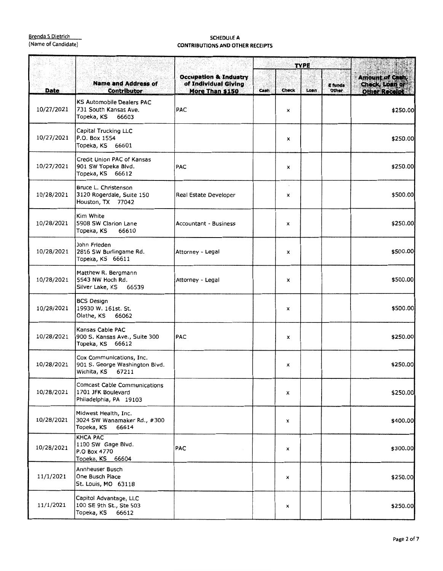|             |                                                                                     |                                                                             | <b>TYPE</b> |       |      |                         |                                                           |
|-------------|-------------------------------------------------------------------------------------|-----------------------------------------------------------------------------|-------------|-------|------|-------------------------|-----------------------------------------------------------|
| <b>Date</b> | <b>Name and Address of</b><br><b>Contributor</b>                                    | <b>Occupation &amp; Industry</b><br>of Individual Giving<br>More Than \$150 | Cash        | Check | Loan | <b>E</b> funds<br>Other | <b>Amount of Cash,</b><br>Check, Loan or<br>Other Receipt |
| 10/27/2021  | <b>KS Automobile Dealers PAC</b><br>731 South Kansas Ave.<br>Topeka, KS 66603       | <b>PAC</b>                                                                  |             | ×     |      |                         | \$250.00                                                  |
| 10/27/2021  | Capital Trucking LLC<br>P.O. Box 1554<br>Topeka, KS 66601                           |                                                                             |             | x     |      |                         | \$250.00                                                  |
| 10/27/2021  | Credit Union PAC of Kansas<br>901 SW Topeka Blvd.<br>Topeka, KS 66612               | <b>PAC</b>                                                                  |             | x     |      |                         | \$250.00                                                  |
| 10/28/2021  | Bruce L. Christenson<br>3120 Rogerdale, Suite 150<br>Houston, TX 77042              | Real Estate Developer                                                       |             | x     |      |                         | \$500.00                                                  |
| 10/28/2021  | Kim White<br>5908 SW Clarion Lane<br>66610<br>Topeka, KS                            | Accountant - Business                                                       |             | X     |      |                         | \$250.00                                                  |
| 10/28/2021  | John Frieden<br>2816 SW Burlingame Rd.<br>Topeka, KS 66611                          | Attorney - Legal                                                            |             | x     |      |                         | \$500.00                                                  |
| 10/28/2021  | Matthew R. Bergmann<br>5543 NW Hoch Rd.<br>Silver Lake, KS<br>66539                 | Attorney - Legal                                                            |             | x     |      |                         | \$500.00                                                  |
| 10/28/2021  | <b>BCS Design</b><br>19930 W. 161st. St.<br>Olathe, KS<br>66062                     |                                                                             |             | x     |      |                         | \$500.00                                                  |
| 10/28/2021  | Kansas Cable PAC<br>900 S. Kansas Ave., Suite 300<br>Topeka, KS 66612               | <b>PAC</b>                                                                  |             | x     |      |                         | \$250.00                                                  |
| 10/28/2021  | Cox Communications, Inc.<br>901 S. George Washington Blvd.<br>Wichita, KS 67211     |                                                                             |             | x     |      |                         | \$250.00                                                  |
| 10/28/2021  | <b>Comcast Cable Communications</b><br>1701 JFK Boulevard<br>Philadelphia, PA 19103 |                                                                             |             | x     |      |                         | \$250.00                                                  |
| 10/28/2021  | Midwest Health, Inc.<br>3024 SW Wanamaker Rd., #300<br>66614<br>Topeka, KS          |                                                                             |             | x     |      |                         | \$400.00                                                  |
| 10/28/2021  | <b>KHCA PAC</b><br>1100 SW Gage Blvd.<br>P.O Box 4770<br>Topeka, KS 66604           | PAC                                                                         |             | x     |      |                         | \$300.00                                                  |
| 11/1/2021   | Annheuser Busch<br>One Busch Place<br>St. Louis, MO 63118                           |                                                                             |             | x     |      |                         | \$250.00                                                  |
| 11/1/2021   | Capitol Advantage, LLC<br>100 SE 9th St., Ste 503<br>Topeka, KS<br>66612            |                                                                             |             | x     |      |                         | \$250.00                                                  |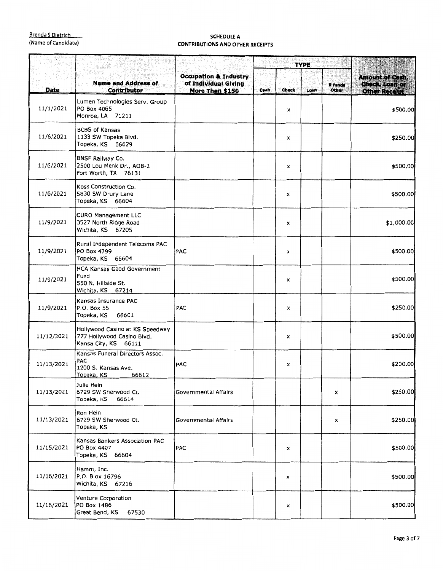|            |                                                                                       |                                                                             | <b>TYPE</b> |       | A. S. Children |                         |                                                            |
|------------|---------------------------------------------------------------------------------------|-----------------------------------------------------------------------------|-------------|-------|----------------|-------------------------|------------------------------------------------------------|
| Date       | <b>Name and Address of</b><br><b>Contributor</b>                                      | <b>Occupation &amp; Industry</b><br>of Individual Giving<br>More Than \$150 | Cash        | Check | Loan           | <b>R</b> funds<br>Other | Amount of Cash,<br>Check, Loan or<br><b>Other Recoipts</b> |
| 11/1/2021  | Lumen Technologies Serv. Group<br>PO Box 4065<br>Monroe, LA 71211                     |                                                                             |             | ×     |                |                         | \$500.00                                                   |
| 11/6/2021  | <b>BCBS of Kansas</b><br>1133 SW Topeka Blvd.<br>Topeka, KS 66629                     |                                                                             |             | x     |                |                         | \$250.00                                                   |
| 11/6/2021  | <b>BNSF Railway Co.</b><br>2500 Lou Menk Dr., AOB-2<br>Fort Worth, TX 76131           |                                                                             |             | x     |                |                         | \$500.00                                                   |
| 11/6/2021  | Koss Construction Co.<br>5830 SW Drury Lane<br>Topeka, KS 66604                       |                                                                             |             | x     |                |                         | \$500.00                                                   |
| 11/9/2021  | <b>CURO Management LLC</b><br>3527 North Ridge Road<br>Wichita, KS 67205              |                                                                             |             | x     |                |                         | \$1,000.00                                                 |
| 11/9/2021  | Rural Independent Telecoms PAC<br>PO Box 4799<br>Topeka, KS 66604                     | PAC                                                                         |             | x     |                |                         | \$500.00                                                   |
| 11/9/2021  | HCA Kansas Good Government<br>Fund<br>550 N. Hillside St.<br>Wichita, KS 67214        |                                                                             |             | x     |                |                         | \$500.00                                                   |
| 11/9/2021  | Kansas Insurance PAC<br>P.O. Box 55<br>Topeka, KS<br>66601                            | <b>PAC</b>                                                                  |             | x     |                |                         | \$250.00                                                   |
| 11/12/2021 | Hollywood Casino at KS Speedway<br>777 Hollywood Casino Blvd.<br>Kansa City, KS 66111 |                                                                             |             | x     |                |                         | \$500.00                                                   |
| 11/13/2021 | Kansas Funeral Directors Assoc.<br>PAC<br>1200 S. Kansas Ave.<br>66612<br>Topeka, KS  | <b>PAC</b>                                                                  |             | x     |                |                         | \$200.00                                                   |
| 11/13/2021 | Julie Hein<br>6729 SW Sherwood Ct.<br>Topeka, KS<br>66614                             | Governmental Affairs                                                        |             |       |                | x                       | \$250.00                                                   |
| 11/13/2021 | Ron Hein<br>6729 SW Sherwood Ct.<br>Topeka, KS                                        | Governmental Affairs                                                        |             |       |                | x                       | \$250.00                                                   |
| 11/15/2021 | Kansas Bankers Association PAC<br>PO Box 4407<br>Topeka, KS 66604                     | PAC                                                                         |             | x     |                |                         | \$500.00                                                   |
| 11/16/2021 | Hamm, Inc.<br>P.O. B ox 16796<br>Wichita, KS 67216                                    |                                                                             |             | ×     |                |                         | \$500.00                                                   |
| 11/16/2021 | Venture Corporation<br>PO Box 1486<br>Great Bend, KS<br>67530                         |                                                                             |             | ×     |                |                         | \$500.00                                                   |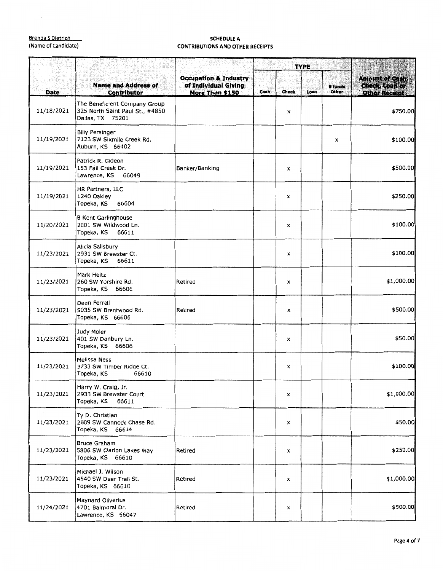$\bar{\mathcal{A}}$ 

|             |                                                                                      |                                                                             | <b>TYPE</b> |              | pathents |                         |                                                                  |
|-------------|--------------------------------------------------------------------------------------|-----------------------------------------------------------------------------|-------------|--------------|----------|-------------------------|------------------------------------------------------------------|
| <b>Date</b> | <b>Name and Address of</b><br><b>Contributor</b>                                     | <b>Occupation &amp; Industry</b><br>of Individual Giving<br>More Than \$150 | Cash        | <b>Check</b> | Loan     | <b>E</b> funds<br>Other | <b>Amount of Cash,</b><br>Check, Loan or<br><b>Other Receipt</b> |
| 11/18/2021  | The Beneficient Company Group<br>325 North Saint Paul St., #4850<br>Dallas, TX 75201 |                                                                             |             | x            |          |                         | \$750.00                                                         |
| 11/19/2021  | <b>Billy Persinger</b><br>7123 SW Sixmile Creek Rd.<br>Auburn, KS 66402              |                                                                             |             |              |          | x                       | \$100.00                                                         |
| 11/19/2021  | Patrick R. Gideon<br>153 Fall Creek Dr.<br>Lawrence, KS 66049                        | Banker/Banking                                                              |             | x            |          |                         | \$500.00                                                         |
| 11/19/2021  | HR Partners, LLC<br>1240 Oakley<br>Topeka, KS<br>66604                               |                                                                             |             | x            |          |                         | \$250.00                                                         |
| 11/20/2021  | <b>B Kent Garlinghouse</b><br>2001 SW Wildwood Ln.<br>Topeka, KS<br>66611            |                                                                             |             | x            |          |                         | \$100.00                                                         |
| 11/23/2021  | Alicia Salisbury<br>2931 SW Brewster Ct.<br>Topeka, KS<br>66611                      |                                                                             |             | x            |          |                         | \$100.00                                                         |
| 11/23/2021  | Mark Heitz<br>260 SW Yorshire Rd.<br>Topeka, KS 66606                                | Retired                                                                     |             | x            |          |                         | \$1,000.00                                                       |
| 11/23/2021  | Dean Ferrell<br>5035 SW Brentwood Rd.<br>Topeka, KS 66606                            | Retired                                                                     |             | x            |          |                         | \$500.00                                                         |
| 11/23/2021  | Judy Moler<br>401 SW Danbury Ln.<br>Topeka, KS 66606                                 |                                                                             |             | ×            |          |                         | \$50.00                                                          |
| 11/23/2021  | <b>Melissa Ness</b><br>3733 SW Timber Ridge Ct.<br>Topeka, KS<br>66610               |                                                                             |             | ×            |          |                         | \$100.00                                                         |
| 11/23/2021  | Harry W. Craig, Jr.<br>2933 SW Brewster Court<br>Topeka, KS<br>66611                 |                                                                             |             | x            |          |                         | \$1,000.00                                                       |
| 11/23/2021  | Ty D. Christian<br>2809 SW Cannock Chase Rd.<br>Topeka, KS 66614                     |                                                                             |             | x            |          |                         | \$50.00                                                          |
| 11/23/2021  | Bruce Graham<br>5806 SW Clarion Lakes Way<br>Topeka, KS 66610                        | Retired                                                                     |             | x            |          |                         | \$250.00                                                         |
| 11/23/2021  | Michael J. Wilson<br>4540 SW Deer Trail St.<br>Topeka, KS 66610                      | Retired                                                                     |             | x            |          |                         | \$1,000.00                                                       |
| 11/24/2021  | Maynard Oliverius<br>4701 Balmoral Dr.<br>Lawrence, KS 66047                         | Retired                                                                     |             | x            |          |                         | \$500.00                                                         |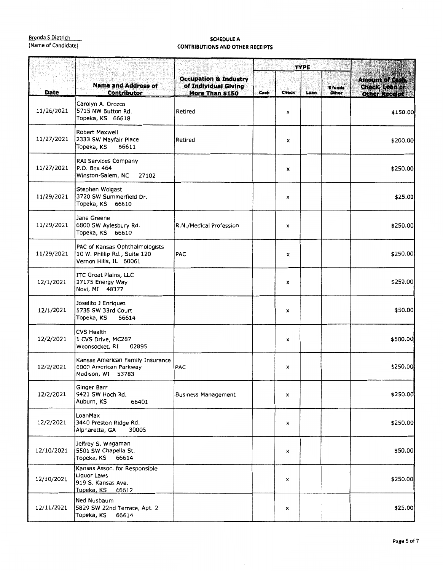|             |                                                                                           |                                                                             | <b>TYPE</b> |              |      |                         |                                                                  |
|-------------|-------------------------------------------------------------------------------------------|-----------------------------------------------------------------------------|-------------|--------------|------|-------------------------|------------------------------------------------------------------|
| <b>Date</b> | <b>Name and Address of</b><br><b>Contributor</b>                                          | <b>Occupation &amp; Industry</b><br>of Individual Giving<br>More Than \$150 | Cash        | <b>Check</b> | Loan | <b>E</b> funds<br>Other | <b>Amount of Cash,</b><br>Check, Loan or<br><b>Other Receipt</b> |
| 11/26/2021  | Carolyn A. Orozco<br>5715 NW Button Rd.<br>Topeka, KS 66618                               | Retired                                                                     |             | ×            |      |                         | \$150.00                                                         |
| 11/27/2021  | Robert Maxwell<br>2333 SW Mayfair Place<br>Topeka, KS<br>66611                            | Retired                                                                     |             | x            |      |                         | \$200.00                                                         |
| 11/27/2021  | RAI Services Company<br>P.O. Box 464<br>Winston-Salem, NC<br>27102                        |                                                                             |             | x            |      |                         | \$250.00                                                         |
| 11/29/2021  | Stephen Wolgast<br>3720 SW Summerfield Dr.<br>Topeka, KS 66610                            |                                                                             |             | ×            |      |                         | \$25.00                                                          |
| 11/29/2021  | Jane Greene<br>6800 SW Aylesbury Rd.<br>Topeka, KS 66610                                  | R.N./Medical Profession                                                     |             | x            |      |                         | \$250.00                                                         |
| 11/29/2021  | PAC of Kansas Ophthalmologists<br>10 W. Phillip Rd., Suite 120<br>Vernon Hills, IL 60061  | <b>PAC</b>                                                                  |             | x            |      |                         | \$250.00                                                         |
| 12/1/2021   | ITC Great Plains, LLC<br>27175 Energy Way<br>Novi, MI 48377                               |                                                                             |             | x            |      |                         | \$250.00                                                         |
| 12/1/2021   | Joselito 3 Enriquez<br>5735 SW 33rd Court<br>Topeka, KS<br>66614                          |                                                                             |             | x            |      |                         | \$50.00                                                          |
| 12/2/2021   | <b>CVS Health</b><br>1 CVS Drive, MC287<br>02895<br>Woonsocket, RI                        |                                                                             |             | x            |      |                         | \$500.00                                                         |
| 12/2/2021   | Kansas American Family Insurance<br>6000 American Parkway<br>Madison, WI 53783            | <b>PAC</b>                                                                  |             | x            |      |                         | \$250.00                                                         |
| 12/2/2021   | Ginger Barr<br>9421 SW Hoch Rd.<br>Auburn, KS<br>66401                                    | <b>Business Management</b>                                                  |             | x            |      |                         | \$250.00                                                         |
| 12/2/2021   | LoanMax<br>3440 Preston Ridge Rd.<br>Alpharetta, GA<br>30005                              |                                                                             |             | x            |      |                         | \$250.00                                                         |
| 12/10/2021  | Jeffrey S. Wagaman<br>5501 SW Chapella St.<br>Topeka, KS<br>66614                         |                                                                             |             | x            |      |                         | \$50.00                                                          |
| 12/10/2021  | Kansas Assoc. for Responsible<br>Liquor Laws<br>919 S. Kansas Ave.<br>Topeka, KS<br>66612 |                                                                             |             | x            |      |                         | \$250.00                                                         |
| 12/11/2021  | Ned Nusbaum<br>5829 SW 22nd Terrace, Apt. 2<br>Topeka, KS<br>66614                        |                                                                             |             | ×            |      |                         | \$25.00                                                          |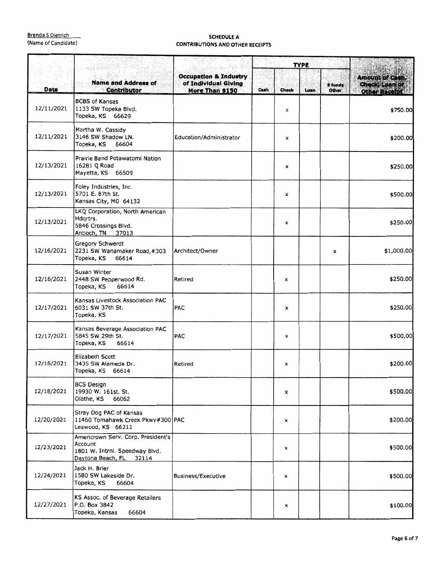|             |                                                                                                               |                                                                             | <b>TYPE</b> |              |      |                         |                                                            |
|-------------|---------------------------------------------------------------------------------------------------------------|-----------------------------------------------------------------------------|-------------|--------------|------|-------------------------|------------------------------------------------------------|
| <b>Date</b> | <b>Name and Address of</b><br><b>Contributor</b>                                                              | <b>Occupation &amp; Industry</b><br>of Individual Giving<br>More Than \$150 | Cash        | <b>Check</b> | Loan | <b>E</b> funds<br>Other | <b>Amount of Cash,</b><br>Check; Loan or<br>Other Receipts |
| 12/11/2021  | <b>BCBS of Kansas</b><br>1133 SW Topeka Blvd.<br>Topeka, KS 66629                                             |                                                                             |             | x            |      |                         | \$750.00                                                   |
| 12/11/2021  | Martha W. Cassidy<br>3146 SW Shadow LN.<br>Topeka, KS<br>66604                                                | Education/Administrator                                                     |             | Х            |      |                         | \$200.00                                                   |
| 12/13/2021  | Prairie Band Potawatomi Nation<br>16281 Q Road<br>Mayetta, KS 66509                                           |                                                                             |             | x            |      |                         | \$250.00                                                   |
| 12/13/2021  | Foley Industries, Inc.<br>5701 E. 87th St.<br>Kansas City, MO 64132                                           |                                                                             |             | x            |      |                         | \$500.00                                                   |
| 12/13/2021  | LKQ Corporation, North American<br>Hdgrtrs.<br>5846 Crossings Blvd.<br>Antioch, TN 37013                      |                                                                             |             | x            |      |                         | \$250.00                                                   |
| 12/16/2021  | Gregory Schwerdt<br>2231 SW Wanamaker Road, #303<br>Topeka, KS<br>66614                                       | Architect/Owner                                                             |             |              |      | x                       | \$1,000.00                                                 |
| 12/16/2021  | Susan Winter<br>2448 SW Pepperwood Rd.<br>66614<br>Topeka, KS                                                 | Retired                                                                     |             | х            |      |                         | \$250.00                                                   |
| 12/17/2021  | Kansas Livestock Association PAC<br>6031 SW 37th St.<br>Topeka, KS                                            | <b>PAC</b>                                                                  |             | x            |      |                         | \$250.00                                                   |
| 12/17/2021  | Kansas Beverage Association PAC<br>5845 SW 29th St.<br>66614<br>Topeka, KS                                    | <b>PAC</b>                                                                  |             | x            |      |                         | \$500.00                                                   |
| 12/18/2021  | Elizabeth Scott<br>3435 SW Alameda Dr.<br>Topeka, KS 66614                                                    | Retired                                                                     |             | x            |      |                         | \$200.00                                                   |
| 12/18/2021  | BCS Design<br>19930 W. 161st. St.<br>66062<br>Olathe, KS                                                      |                                                                             |             | x            |      |                         | \$500.00                                                   |
| 12/20/2021  | Stray Dog PAC of Kansas<br>11460 Tomahawk Creek Pkwy#300 PAC<br>Leawood, KS 66211                             |                                                                             |             | х            |      |                         | \$200.00                                                   |
| 12/23/2021  | Americrown Serv. Corp. President's<br>Account<br>1801 W. Intrnl. Speedway Blvd.<br>Daytona Beach, FL<br>32114 |                                                                             |             | x            |      |                         | \$500.00                                                   |
| 12/24/2021  | Jack H. Brier<br>1580 SW Lakeside Dr.<br>Topeka, KS<br>66604                                                  | Business/Executive                                                          |             | x            |      |                         | \$500.00                                                   |
| 12/27/2021  | KS Assoc. of Beverage Retailers<br>P.O. Box 3842<br>Topeka, Kansas<br>66604                                   |                                                                             |             | ×            |      |                         | \$100.00                                                   |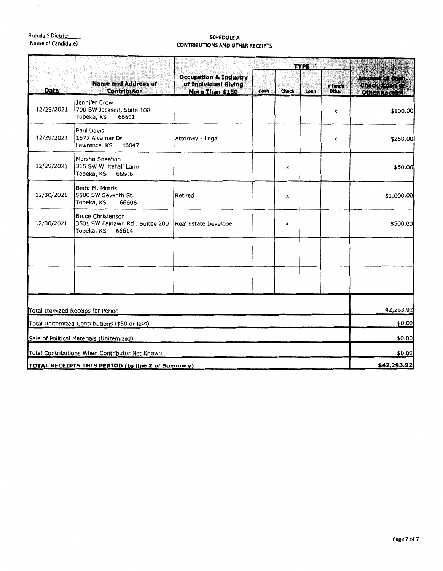|            | <b>Name and Address of</b><br><b>Contributor</b>                                    | 환화 나는 도 좋다.                                                                 | <b>TYPE</b> |       |      |                         |                                                            |
|------------|-------------------------------------------------------------------------------------|-----------------------------------------------------------------------------|-------------|-------|------|-------------------------|------------------------------------------------------------|
| Date       |                                                                                     | <b>Occupation &amp; Industry</b><br>of Individual Giving<br>More Than \$150 | Cash        | Check | Loan | E funds<br><b>Other</b> | <b>Amount of Cash,</b><br>Check, Loan or<br>Other Receipt. |
| 12/28/2021 | Jennifer Crow<br>700 SW Jackson, Suite 100<br>66601<br>Topeka, KS                   |                                                                             |             |       |      | ×                       | \$100.00                                                   |
| 12/29/2021 | Paul Davis<br>1577 Alvamar Dr.<br>Lawrence, KS<br>66047                             | Attorney - Legal                                                            |             |       |      | x                       | \$250.00                                                   |
| 12/29/2021 | Marsha Sheahan<br>315 SW Whitehall Lane<br>Topeka, KS<br>66606                      |                                                                             |             | x     |      |                         | \$50.00                                                    |
| 12/30/2021 | Bette M. Morris<br>5500 SW Seventh St.<br>Topeka, KS<br>66606                       | Retired                                                                     |             | x     |      |                         | \$1,000.00                                                 |
| 12/30/2021 | <b>Bruce Christenson</b><br>3501 SW Fairlawn Rd., Suitee 200<br>Topeka, KS<br>66614 | Real Estate Developer                                                       |             | x     |      |                         | \$500.00                                                   |
|            |                                                                                     |                                                                             |             |       |      |                         |                                                            |
|            |                                                                                     |                                                                             |             |       |      |                         |                                                            |
|            | Total Itemized Receips for Period                                                   |                                                                             |             |       |      |                         | 42,293.92                                                  |
|            | Total Unitemized Contributions (\$50 or less)                                       |                                                                             |             |       |      |                         | \$0.00                                                     |
|            | Sale of Political Materials (Unitemized)                                            |                                                                             |             |       |      |                         | \$0.00                                                     |
|            | Total Contributions When Contributor Not Known                                      |                                                                             |             |       |      |                         | \$0.00                                                     |
|            | TOTAL RECEIPTS THIS PERIOD (to line 2 of Summary)                                   |                                                                             |             |       |      |                         | \$42,293.92                                                |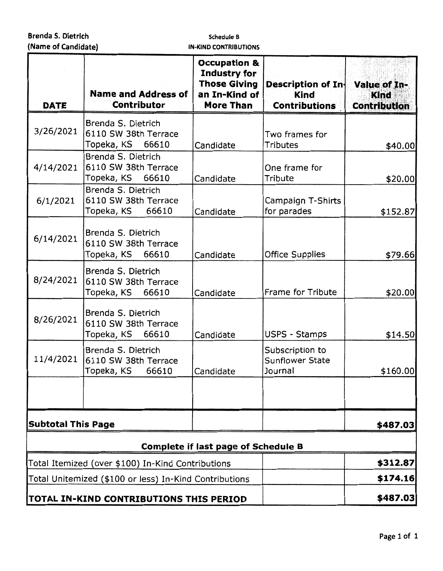### **Schedule B IN-KIND CONTRIBUTIONS**

| <b>DATE</b>               | <b>Name and Address of</b><br><b>Contributor</b>                  | <b>Occupation &amp;</b><br>Industry for<br><b>Those Giving</b><br>an In-Kind of<br><b>More Than</b> | Description of In-<br><b>Kind</b><br><b>Contributions</b> | Value of In-<br><b>Kind</b><br><b>Contribution</b> |
|---------------------------|-------------------------------------------------------------------|-----------------------------------------------------------------------------------------------------|-----------------------------------------------------------|----------------------------------------------------|
| 3/26/2021                 | Brenda S. Dietrich<br>6110 SW 38th Terrace<br>Topeka, KS<br>66610 | Candidate                                                                                           | Two frames for<br>Tributes                                | \$40.00                                            |
| 4/14/2021                 | Brenda S. Dietrich<br>6110 SW 38th Terrace<br>Topeka, KS<br>66610 | Candidate                                                                                           | One frame for<br>Tribute                                  | \$20.00                                            |
| 6/1/2021                  | Brenda S. Dietrich<br>6110 SW 38th Terrace<br>Topeka, KS<br>66610 | Candidate                                                                                           | Campaign T-Shirts<br>for parades                          | \$152.87                                           |
| 6/14/2021                 | Brenda S. Dietrich<br>6110 SW 38th Terrace<br>Topeka, KS<br>66610 | Candidate                                                                                           | <b>Office Supplies</b>                                    | \$79.66                                            |
| 8/24/2021                 | Brenda S. Dietrich<br>6110 SW 38th Terrace<br>Topeka, KS<br>66610 | Candidate                                                                                           | Frame for Tribute                                         | \$20.00                                            |
| 8/26/2021                 | Brenda S. Dietrich<br>6110 SW 38th Terrace<br>Topeka, KS<br>66610 | Candidate                                                                                           | <b>USPS - Stamps</b>                                      | \$14.50                                            |
| 11/4/2021                 | Brenda S. Dietrich<br>6110 SW 38th Terrace<br>Topeka, KS<br>66610 | Candidate                                                                                           | Subscription to<br>Sunflower State<br>Journal             | \$160.00                                           |
|                           |                                                                   |                                                                                                     |                                                           |                                                    |
| <b>Subtotal This Page</b> |                                                                   |                                                                                                     |                                                           | \$487.03                                           |
|                           |                                                                   | <b>Complete if last page of Schedule B</b>                                                          |                                                           |                                                    |
|                           | Total Itemized (over \$100) In-Kind Contributions                 |                                                                                                     |                                                           | \$312.87                                           |
|                           | Total Unitemized (\$100 or less) In-Kind Contributions            |                                                                                                     |                                                           | \$174.16                                           |
|                           | TOTAL IN-KIND CONTRIBUTIONS THIS PERIOD                           |                                                                                                     |                                                           | \$487.03                                           |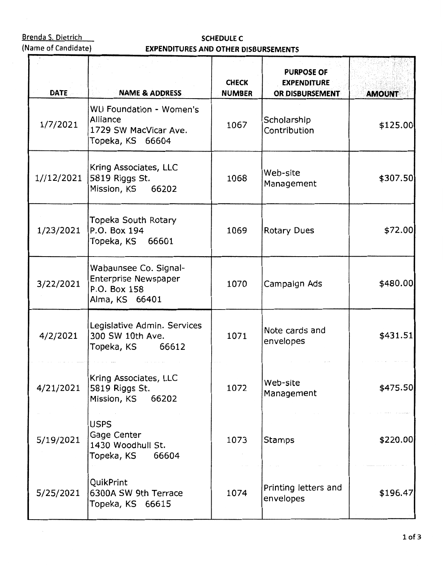$\bar{z}$ 

**Brenda S. Dietrich Schemes Schepville C**<br>
(Name of Candidate) **SCHEDULE C EXPENDITURES AND OTHER D EXPENDITURES AND OTHER DISBURSEMENTS** 

| <b>DATE</b> | <b>NAME &amp; ADDRESS</b>                                                              | <b>CHECK</b><br><b>NUMBER</b> | <b>PURPOSE OF</b><br><b>EXPENDITURE</b><br>OR DISBURSEMENT | <b>AMOUNT</b> |
|-------------|----------------------------------------------------------------------------------------|-------------------------------|------------------------------------------------------------|---------------|
| 1/7/2021    | WU Foundation - Women's<br>Alliance<br>1729 SW MacVicar Ave.<br>Topeka, KS 66604       | 1067                          | Scholarship<br>Contribution                                | \$125.00      |
| 1//12/2021  | Kring Associates, LLC<br>5819 Riggs St.<br>Mission, KS 66202                           | 1068                          | Web-site<br>Management                                     | \$307.50      |
| 1/23/2021   | Topeka South Rotary<br>P.O. Box 194<br>Topeka, KS 66601                                | 1069                          | <b>Rotary Dues</b>                                         | \$72.00       |
| 3/22/2021   | Wabaunsee Co. Signal-<br><b>Enterprise Newspaper</b><br>P.O. Box 158<br>Alma, KS 66401 | 1070                          | Campaign Ads                                               | \$480.00      |
| 4/2/2021    | Legislative Admin. Services<br>300 SW 10th Ave.<br>66612<br>Topeka, KS                 | 1071                          | Note cards and<br>envelopes                                | \$431.51      |
| 4/21/2021   | Kring Associates, LLC<br>5819 Riggs St.<br>Mission, KS<br>66202                        | 1072                          | Web-site<br>Management                                     | \$475.50      |
| 5/19/2021   | <b>USPS</b><br>Gage Center<br>1430 Woodhull St.<br>Topeka, KS<br>66604                 | 1073                          | <b>Stamps</b>                                              | \$220.00      |
| 5/25/2021   | QuikPrint<br>6300A SW 9th Terrace<br>Topeka, KS 66615                                  | 1074                          | Printing letters and<br>envelopes                          | \$196.47      |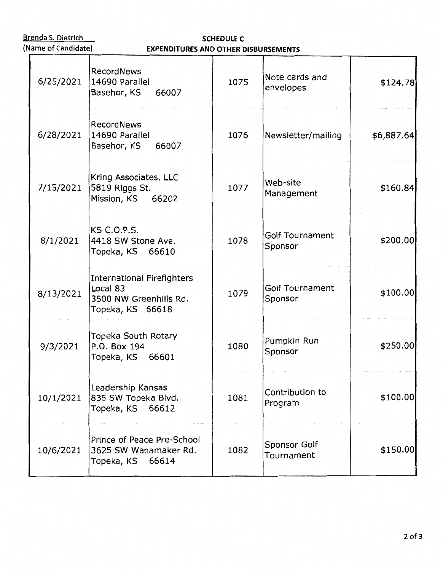# Brenda S. Dietrich **SCHEDULE C**<br>(Name of Candidate) **SCHEDULE C EXPENDITURES AND OTHER D EXPENDITURES AND OTHER DISBURSEMENTS**

| 6/25/2021 | <b>RecordNews</b><br>14690 Parallel<br>Basehor, KS<br>66007                          | 1075 | Note cards and<br>envelopes       | \$124.78   |
|-----------|--------------------------------------------------------------------------------------|------|-----------------------------------|------------|
| 6/28/2021 | <b>RecordNews</b><br>14690 Parallel<br>Basehor, KS<br>66007                          | 1076 | Newsletter/mailing                | \$6,887.64 |
| 7/15/2021 | Kring Associates, LLC<br>5819 Riggs St.<br>Mission, KS 66202                         | 1077 | Web-site<br>Management            | \$160.84   |
| 8/1/2021  | <b>KS C.O.P.S.</b><br>4418 SW Stone Ave.<br>Topeka, KS 66610                         | 1078 | <b>Golf Tournament</b><br>Sponsor | \$200.00   |
| 8/13/2021 | International Firefighters<br>Local 83<br>3500 NW Greenhills Rd.<br>Topeka, KS 66618 | 1079 | <b>Golf Tournament</b><br>Sponsor | \$100.00   |
| 9/3/2021  | <b>Topeka South Rotary</b><br>P.O. Box 194<br>Topeka, KS 66601                       | 1080 | Pumpkin Run<br>Sponsor            | \$250.00   |
| 10/1/2021 | Leadership Kansas<br>835 SW Topeka Blvd.<br>Topeka, KS<br>66612                      | 1081 | Contribution to<br>Program        | \$100.00   |
| 10/6/2021 | Prince of Peace Pre-School<br>3625 SW Wanamaker Rd.<br>Topeka, KS 66614              | 1082 | Sponsor Golf<br>Tournament        | \$150.00   |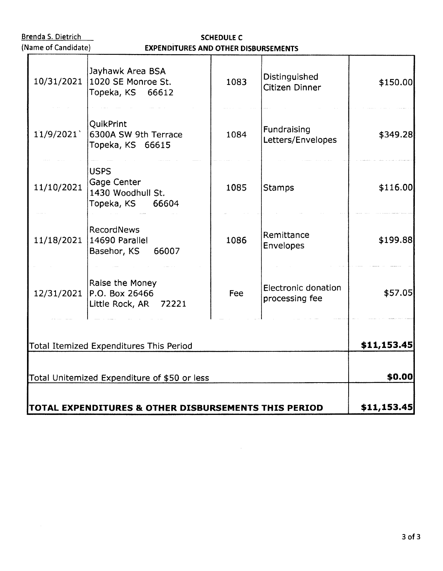| (Name of Candidate) | <b>EXPENDITURES AND OTHER DISBURSEMENTS</b>                         |      |                                       |             |  |  |  |  |
|---------------------|---------------------------------------------------------------------|------|---------------------------------------|-------------|--|--|--|--|
| 10/31/2021          | Jayhawk Area BSA<br>1020 SE Monroe St.<br>Topeka, KS 66612          | 1083 | Distinguished<br>Citizen Dinner       | \$150.00    |  |  |  |  |
| 11/9/2021           | QuikPrint<br>6300A SW 9th Terrace<br>Topeka, KS 66615               | 1084 | Fundraising<br>Letters/Envelopes      | \$349.28    |  |  |  |  |
| 11/10/2021          | <b>USPS</b><br>Gage Center<br>1430 Woodhull St.<br>Topeka, KS 66604 | 1085 | <b>Stamps</b>                         | \$116.00    |  |  |  |  |
| 11/18/2021          | <b>RecordNews</b><br>14690 Parallel<br>Basehor, KS<br>66007         | 1086 | Remittance<br>Envelopes               | \$199.88    |  |  |  |  |
| 12/31/2021          | Raise the Money<br>P.O. Box 26466<br>Little Rock, AR 72221          | Fee  | Electronic donation<br>processing fee | \$57.05     |  |  |  |  |
|                     | Total Itemized Expenditures This Period                             |      |                                       | \$11,153.45 |  |  |  |  |
|                     | Total Unitemized Expenditure of \$50 or less                        |      |                                       | \$0.00      |  |  |  |  |
|                     | TOTAL EXPENDITURES & OTHER DISBURSEMENTS THIS PERIOD                |      |                                       | \$11,153.45 |  |  |  |  |